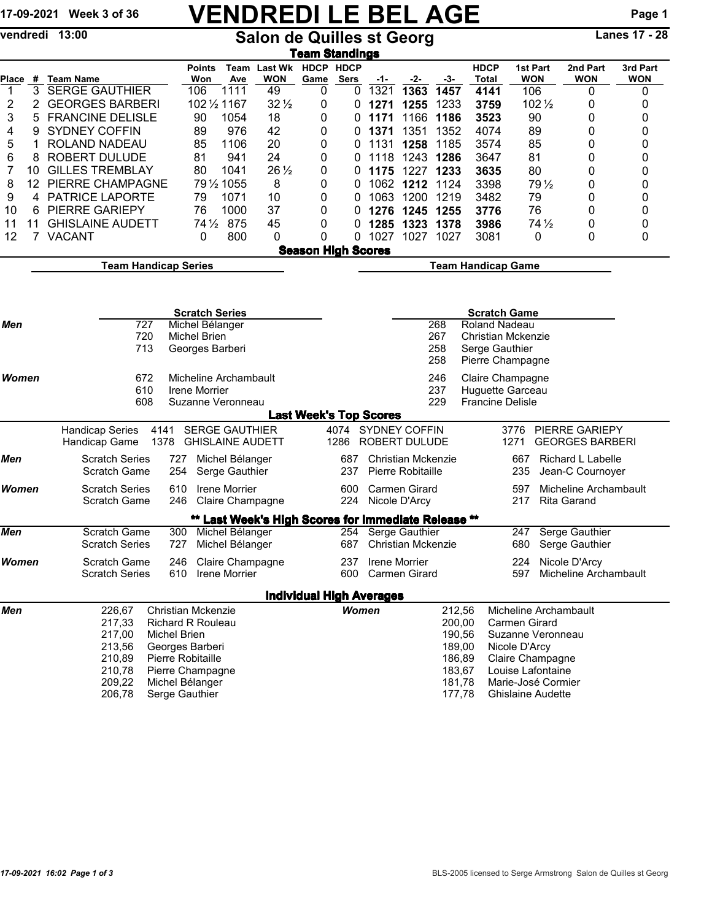## 17-09-2021 Week 3 of 36 VENDREDI LE BEL AGE Page 1

vendredi 13:00 Salon de Quilles st Georg Lanes 17 - 28

| <u>Team Standings</u> |    |                                                         |                                                  |                         |                                                     |                                 |                                  |      |                                            |                  |                              |                          |                                          |                        |  |  |
|-----------------------|----|---------------------------------------------------------|--------------------------------------------------|-------------------------|-----------------------------------------------------|---------------------------------|----------------------------------|------|--------------------------------------------|------------------|------------------------------|--------------------------|------------------------------------------|------------------------|--|--|
| Place                 |    | # Team Name                                             | <b>Points</b><br>Won                             | Ave                     | Team Last Wk HDCP HDCP<br><b>WON</b>                | Game                            | <b>Sers</b>                      | -1-  | -2-                                        | -3-              | <b>HDCP</b><br>Total         | 1st Part<br><b>WON</b>   | 2nd Part<br><b>WON</b>                   | 3rd Part<br><b>WON</b> |  |  |
| $\mathbf{1}$          | 3  | <b>SERGE GAUTHIER</b>                                   | 106                                              | 1111                    | 49                                                  | 0                               | 0                                | 1321 | 1363                                       | 1457             | 4141                         | 106                      | 0                                        | 0                      |  |  |
| 2                     | 2  | <b>GEORGES BARBERI</b>                                  | 102 1/2 1167                                     |                         | $32\frac{1}{2}$                                     | 0                               | 0                                | 1271 | 1255                                       | 1233             | 3759                         | 102 1/2                  | 0                                        | 0                      |  |  |
| 3                     | 5  | <b>FRANCINE DELISLE</b>                                 | 90                                               | 1054                    | 18                                                  | 0                               | 0                                | 1171 | 1166                                       | 1186             | 3523                         | 90                       | 0                                        | 0                      |  |  |
| 4                     | 9  | <b>SYDNEY COFFIN</b>                                    | 89                                               | 976                     | 42                                                  | 0                               | 0                                | 1371 | 1351                                       | 1352             | 4074                         | 89                       | 0                                        | 0                      |  |  |
| 5                     | 1  | ROLAND NADEAU                                           | 85                                               | 1106                    | 20                                                  | 0                               | 0                                | 1131 | 1258                                       | 1185             | 3574                         | 85                       | 0                                        | 0                      |  |  |
| 6                     | 8  | <b>ROBERT DULUDE</b>                                    | 81                                               | 941                     | 24                                                  | 0                               | 0                                | 1118 | 1243                                       | 1286             | 3647                         | 81                       | 0                                        | 0                      |  |  |
| 7                     | 10 | <b>GILLES TREMBLAY</b>                                  | 80                                               | 1041                    | $26\frac{1}{2}$                                     | 0                               | $\Omega$                         | 1175 | 1227 1233                                  |                  | 3635                         | 80                       | 0                                        | 0                      |  |  |
| 8                     | 12 | PIERRE CHAMPAGNE                                        |                                                  | 79 1/2 1055             | 8                                                   | 0                               | 0                                | 1062 | 1212 1124                                  |                  | 3398                         | 79 $\frac{1}{2}$         | 0                                        | 0                      |  |  |
| 9                     | 4  | PATRICE LAPORTE                                         | 79                                               | 1071                    | 10                                                  | 0                               | $\Omega$                         | 1063 | 1200                                       | 1219             | 3482                         | 79                       | 0                                        | 0                      |  |  |
| 10                    | 6  | PIERRE GARIEPY                                          | 76                                               | 1000                    | 37                                                  | 0                               | 0                                | 1276 | 1245                                       | 1255             | 3776                         | 76                       | 0                                        | 0                      |  |  |
| 11                    | 11 | <b>GHISLAINE AUDETT</b>                                 | $74\frac{1}{2}$                                  | 875                     | 45                                                  | 0                               | O                                | 1285 | 1323                                       | 1378             | 3986                         | $74\frac{1}{2}$          | 0                                        | 0                      |  |  |
| 12                    | 7  | <b>VACANT</b>                                           | 0                                                | 800                     | 0                                                   | 0                               | 0                                | 1027 | 1027                                       | 1027             | 3081                         | 0                        | 0                                        | 0                      |  |  |
|                       |    |                                                         |                                                  |                         |                                                     | <b>Season High Scores</b>       |                                  |      |                                            |                  |                              |                          |                                          |                        |  |  |
|                       |    | <b>Team Handicap Series</b>                             |                                                  |                         |                                                     |                                 | <b>Team Handicap Game</b>        |      |                                            |                  |                              |                          |                                          |                        |  |  |
|                       |    |                                                         |                                                  |                         |                                                     |                                 |                                  |      |                                            |                  |                              |                          |                                          |                        |  |  |
|                       |    |                                                         | <b>Scratch Series</b>                            |                         |                                                     |                                 |                                  |      |                                            |                  | <b>Scratch Game</b>          |                          |                                          |                        |  |  |
| Men                   |    | 727                                                     | Michel Bélanger                                  |                         |                                                     |                                 |                                  |      |                                            | 268              | <b>Roland Nadeau</b>         |                          |                                          |                        |  |  |
|                       |    | 720                                                     | <b>Michel Brien</b>                              |                         |                                                     |                                 | 267<br><b>Christian Mckenzie</b> |      |                                            |                  |                              |                          |                                          |                        |  |  |
|                       |    | 713                                                     | Georges Barberi                                  |                         |                                                     |                                 |                                  |      |                                            | 258              | Serge Gauthier               |                          |                                          |                        |  |  |
|                       |    |                                                         |                                                  |                         |                                                     |                                 |                                  |      |                                            | 258              |                              | Pierre Champagne         |                                          |                        |  |  |
| Women                 |    | 672<br>Micheline Archambault                            |                                                  |                         |                                                     |                                 | 246                              |      | Claire Champagne                           |                  |                              |                          |                                          |                        |  |  |
|                       |    | 610<br>Irene Morrier                                    |                                                  | 237<br>Huguette Garceau |                                                     |                                 |                                  |      |                                            |                  |                              |                          |                                          |                        |  |  |
|                       |    | 608                                                     | Suzanne Veronneau                                |                         |                                                     |                                 |                                  |      |                                            | 229              | <b>Francine Delisle</b>      |                          |                                          |                        |  |  |
|                       |    |                                                         |                                                  |                         |                                                     | <b>Last Week's Top Scores</b>   |                                  |      |                                            |                  |                              |                          |                                          |                        |  |  |
|                       |    | <b>Handicap Series</b><br>4141<br>Handicap Game<br>1378 | <b>SERGE GAUTHIER</b><br><b>GHISLAINE AUDETT</b> |                         |                                                     |                                 | 1286                             |      | 4074 SYDNEY COFFIN<br><b>ROBERT DULUDE</b> |                  |                              | 3776<br>1271             | PIERRE GARIEPY<br><b>GEORGES BARBERI</b> |                        |  |  |
| Men                   |    | <b>Scratch Series</b><br>727                            | Michel Bélanger                                  |                         | 687                                                 |                                 | <b>Christian Mckenzie</b>        |      |                                            | 667              | Richard L Labelle            |                          |                                          |                        |  |  |
|                       |    | 254<br><b>Scratch Game</b>                              |                                                  | 237                     |                                                     | Pierre Robitaille               |                                  |      | 235                                        | Jean-C Cournoyer |                              |                          |                                          |                        |  |  |
|                       |    |                                                         |                                                  | Serge Gauthier          |                                                     |                                 |                                  |      |                                            |                  |                              |                          |                                          |                        |  |  |
| Women                 |    | <b>Scratch Series</b>                                   | 610                                              | Irene Morrier           |                                                     |                                 | 600<br>224                       |      | <b>Carmen Girard</b><br>Nicole D'Arcy      |                  |                              | 597                      | Micheline Archambault                    |                        |  |  |
|                       |    |                                                         | Scratch Game<br>246<br>Claire Champagne          |                         |                                                     |                                 |                                  |      |                                            |                  |                              | 217                      | <b>Rita Garand</b>                       |                        |  |  |
|                       |    |                                                         |                                                  |                         | ** Last Week's High Scores for Immediate Release ** |                                 |                                  |      |                                            |                  |                              |                          |                                          |                        |  |  |
| Men                   |    | <b>Scratch Game</b>                                     | 300                                              | Michel Bélanger         |                                                     |                                 | 254                              |      | Serge Gauthier                             |                  |                              | 247                      | Serge Gauthier                           |                        |  |  |
|                       |    | <b>Scratch Series</b><br>727                            |                                                  | Michel Bélanger         |                                                     |                                 | 687                              |      | <b>Christian Mckenzie</b>                  |                  |                              | 680                      | Serge Gauthier                           |                        |  |  |
| Women                 |    | <b>Scratch Game</b>                                     | 246                                              |                         | Claire Champagne                                    |                                 | 237                              |      | <b>Irene Morrier</b>                       |                  |                              | 224                      | Nicole D'Arcy                            |                        |  |  |
|                       |    | <b>Scratch Series</b>                                   | 610 Irene Morrier                                |                         |                                                     |                                 |                                  |      | 600 Carmen Girard                          |                  |                              | 597.                     | Micheline Archambault                    |                        |  |  |
|                       |    |                                                         |                                                  |                         |                                                     | <b>Individual High Averages</b> |                                  |      |                                            |                  |                              |                          |                                          |                        |  |  |
| Men                   |    | 226,67                                                  | <b>Christian Mckenzie</b>                        |                         |                                                     |                                 | <b>Women</b>                     |      |                                            | 212,56           | Micheline Archambault        |                          |                                          |                        |  |  |
|                       |    | 217,33                                                  |                                                  |                         |                                                     |                                 |                                  |      |                                            | 200,00           |                              | Carmen Girard            |                                          |                        |  |  |
|                       |    | 217,00                                                  | <b>Richard R Rouleau</b><br><b>Michel Brien</b>  |                         |                                                     |                                 |                                  |      |                                            | 190,56           |                              | Suzanne Veronneau        |                                          |                        |  |  |
|                       |    | 213,56                                                  | Georges Barberi                                  |                         |                                                     |                                 |                                  |      |                                            | 189,00           |                              | Nicole D'Arcy            |                                          |                        |  |  |
|                       |    | 210,89                                                  | Pierre Robitaille                                |                         |                                                     |                                 |                                  |      |                                            | 186,89           |                              | Claire Champagne         |                                          |                        |  |  |
|                       |    | 210,78                                                  | Pierre Champagne                                 |                         |                                                     |                                 |                                  |      |                                            | 183,67           |                              | Louise Lafontaine        |                                          |                        |  |  |
|                       |    | 209,22                                                  | Michel Bélanger                                  |                         |                                                     |                                 |                                  |      |                                            |                  | 181,78<br>Marie-José Cormier |                          |                                          |                        |  |  |
|                       |    | 206,78                                                  | Serge Gauthier                                   |                         |                                                     |                                 |                                  |      |                                            | 177,78           |                              | <b>Ghislaine Audette</b> |                                          |                        |  |  |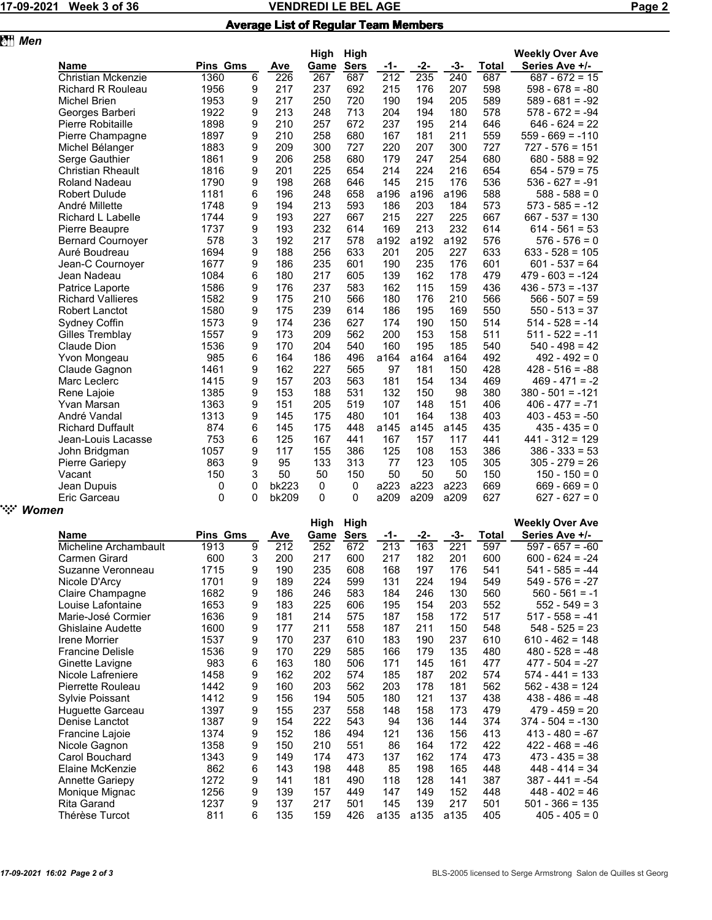|                                                                                                                                                                                                                                                                                                                                                                                                                           | Week 3 of 36             |                 |   | Page 2 |      |             |      |      |      |       |                        |  |
|---------------------------------------------------------------------------------------------------------------------------------------------------------------------------------------------------------------------------------------------------------------------------------------------------------------------------------------------------------------------------------------------------------------------------|--------------------------|-----------------|---|--------|------|-------------|------|------|------|-------|------------------------|--|
| <b>Average List of Regular Team Members</b>                                                                                                                                                                                                                                                                                                                                                                               |                          |                 |   |        |      |             |      |      |      |       |                        |  |
| 17-09-2021<br>图 Men<br><b>Name</b><br><b>Christian Mckenzie</b><br><b>Richard R Rouleau</b><br><b>Michel Brien</b><br>Georges Barberi<br>Pierre Robitaille<br>Pierre Champagne<br>Michel Bélanger<br>Serge Gauthier<br><b>Christian Rheault</b><br><b>Roland Nadeau</b><br><b>Robert Dulude</b><br>André Millette<br>Richard L Labelle<br>Pierre Beaupre<br><b>Bernard Cournoyer</b><br>Auré Boudreau<br>Jean-C Cournoyer |                          |                 |   |        |      |             |      |      |      |       |                        |  |
|                                                                                                                                                                                                                                                                                                                                                                                                                           |                          |                 |   |        | High | High        |      |      |      |       | <b>Weekly Over Ave</b> |  |
|                                                                                                                                                                                                                                                                                                                                                                                                                           |                          | <b>Pins Gms</b> |   | Ave    | Game | <b>Sers</b> | -1-  | -2-  | -3-  | Total | Series Ave +/-         |  |
|                                                                                                                                                                                                                                                                                                                                                                                                                           |                          | 1360            | 6 | 226    | 267  | 687         | 212  | 235  | 240  | 687   | $687 - 672 = 15$       |  |
|                                                                                                                                                                                                                                                                                                                                                                                                                           |                          | 1956            | 9 | 217    | 237  | 692         | 215  | 176  | 207  | 598   | $598 - 678 = -80$      |  |
|                                                                                                                                                                                                                                                                                                                                                                                                                           |                          | 1953            | 9 | 217    | 250  | 720         | 190  | 194  | 205  | 589   | $589 - 681 = -92$      |  |
|                                                                                                                                                                                                                                                                                                                                                                                                                           |                          | 1922            | 9 | 213    | 248  | 713         | 204  | 194  | 180  | 578   | $578 - 672 = -94$      |  |
|                                                                                                                                                                                                                                                                                                                                                                                                                           |                          | 1898            | 9 | 210    | 257  | 672         | 237  | 195  | 214  | 646   | $646 - 624 = 22$       |  |
|                                                                                                                                                                                                                                                                                                                                                                                                                           |                          | 1897            | 9 | 210    | 258  | 680         | 167  | 181  | 211  | 559   | $559 - 669 = -110$     |  |
|                                                                                                                                                                                                                                                                                                                                                                                                                           |                          | 1883            | 9 | 209    | 300  | 727         | 220  | 207  | 300  | 727   | $727 - 576 = 151$      |  |
|                                                                                                                                                                                                                                                                                                                                                                                                                           |                          | 1861            | 9 | 206    | 258  | 680         | 179  | 247  | 254  | 680   | $680 - 588 = 92$       |  |
|                                                                                                                                                                                                                                                                                                                                                                                                                           |                          | 1816            | 9 | 201    | 225  | 654         | 214  | 224  | 216  | 654   | $654 - 579 = 75$       |  |
|                                                                                                                                                                                                                                                                                                                                                                                                                           |                          | 1790            | 9 | 198    | 268  | 646         | 145  | 215  | 176  | 536   | $536 - 627 = -91$      |  |
|                                                                                                                                                                                                                                                                                                                                                                                                                           |                          | 1181            | 6 | 196    | 248  | 658         | a196 | a196 | a196 | 588   | $588 - 588 = 0$        |  |
|                                                                                                                                                                                                                                                                                                                                                                                                                           |                          | 1748            | 9 | 194    | 213  | 593         | 186  | 203  | 184  | 573   | $573 - 585 = -12$      |  |
|                                                                                                                                                                                                                                                                                                                                                                                                                           |                          | 1744            | 9 | 193    | 227  | 667         | 215  | 227  | 225  | 667   | $667 - 537 = 130$      |  |
|                                                                                                                                                                                                                                                                                                                                                                                                                           |                          | 1737            | 9 | 193    | 232  | 614         | 169  | 213  | 232  | 614   | $614 - 561 = 53$       |  |
|                                                                                                                                                                                                                                                                                                                                                                                                                           |                          | 578             | 3 | 192    | 217  | 578         | a192 | a192 | a192 | 576   | $576 - 576 = 0$        |  |
|                                                                                                                                                                                                                                                                                                                                                                                                                           |                          | 1694            | 9 | 188    | 256  | 633         | 201  | 205  | 227  | 633   | $633 - 528 = 105$      |  |
|                                                                                                                                                                                                                                                                                                                                                                                                                           |                          | 1677            | 9 | 186    | 235  | 601         | 190  | 235  | 176  | 601   | $601 - 537 = 64$       |  |
|                                                                                                                                                                                                                                                                                                                                                                                                                           | Jean Nadeau              | 1084            | 6 | 180    | 217  | 605         | 139  | 162  | 178  | 479   | $479 - 603 = -124$     |  |
|                                                                                                                                                                                                                                                                                                                                                                                                                           | Patrice Laporte          | 1586            | 9 | 176    | 237  | 583         | 162  | 115  | 159  | 436   | $436 - 573 = -137$     |  |
|                                                                                                                                                                                                                                                                                                                                                                                                                           | <b>Richard Vallieres</b> | 1582            | 9 | 175    | 210  | 566         | 180  | 176  | 210  | 566   | $566 - 507 = 59$       |  |
|                                                                                                                                                                                                                                                                                                                                                                                                                           | <b>Robert Lanctot</b>    | 1580            | 9 | 175    | 239  | 614         | 186  | 195  | 169  | 550   | $550 - 513 = 37$       |  |
|                                                                                                                                                                                                                                                                                                                                                                                                                           | Sydney Coffin            | 1573            | 9 | 174    | 236  | 627         | 174  | 190  | 150  | 514   | $514 - 528 = -14$      |  |
|                                                                                                                                                                                                                                                                                                                                                                                                                           | Gilles Tremblay          | 1557            | 9 | 173    | 209  | 562         | 200  | 153  | 158  | 511   | $511 - 522 = -11$      |  |
|                                                                                                                                                                                                                                                                                                                                                                                                                           | Claude Dion              | 1536            | 9 | 170    | 204  | 540         | 160  | 195  | 185  | 540   | $540 - 498 = 42$       |  |
|                                                                                                                                                                                                                                                                                                                                                                                                                           | Yvon Mongeau             | 985             | 6 | 164    | 186  | 496         | a164 | a164 | a164 | 492   | $492 - 492 = 0$        |  |
|                                                                                                                                                                                                                                                                                                                                                                                                                           | Claude Gagnon            | 1461            | 9 | 162    | 227  | 565         | 97   | 181  | 150  | 428   | $428 - 516 = -88$      |  |
|                                                                                                                                                                                                                                                                                                                                                                                                                           | Marc Leclerc             | 1415            | 9 | 157    | 203  | 563         | 181  | 154  | 134  | 469   | 469 - 471 = -2         |  |

Rene Lajoie 1385 9 153 188 531 132 150 98 380 380 - 501 = -121 Yvan Marsan 1363 9 151 205 519 107 148 151 406 406 - 477 = -71

Richard Duffault 874 6 145 175 448 a145 a145 a145 435 435 - 435 = 0 Jean-Louis Lacasse 753 6 125 167 441 167 157 117 441 441 - 312 = 129

Pierre Gariepy 863 9 95 133 313 77 123 105 305 305 - 279 = 26 Vacant 150 3 50 50 150 50 50 50 150 150 - 150 = 0

1313 9 145 175 480 101 164 138 403 403 453 = -50<br>874 6 145 175 448 a145 a145 a145 435 435 - 435 = 0

## Jean Dupuis 0 0 bk223 0 0 a223 a223 a223 669 669 - 669 = 0 " *Women*

John Bridgman 1057 9<br>
Pierre Gariepy 1863 9

|                         |                 |   |     | High | High        |      |      |      |       | <b>Weekly Over Ave</b> |
|-------------------------|-----------------|---|-----|------|-------------|------|------|------|-------|------------------------|
| <b>Name</b>             | <b>Pins Gms</b> |   | Ave | Game | <b>Sers</b> | -1-  | -2-  | -3-  | Total | Series Ave +/-         |
| Micheline Archambault   | 1913            | 9 | 212 | 252  | 672         | 213  | 163  | 221  | 597   | $597 - 657 = -60$      |
| Carmen Girard           | 600             | 3 | 200 | 217  | 600         | 217  | 182  | 201  | 600   | $600 - 624 = -24$      |
| Suzanne Veronneau       | 1715            | 9 | 190 | 235  | 608         | 168  | 197  | 176  | 541   | $541 - 585 = -44$      |
| Nicole D'Arcy           | 1701            | 9 | 189 | 224  | 599         | 131  | 224  | 194  | 549   | $549 - 576 = -27$      |
| Claire Champagne        | 1682            | 9 | 186 | 246  | 583         | 184  | 246  | 130  | 560   | $560 - 561 = -1$       |
| Louise Lafontaine       | 1653            | 9 | 183 | 225  | 606         | 195  | 154  | 203  | 552   | $552 - 549 = 3$        |
| Marie-José Cormier      | 1636            | 9 | 181 | 214  | 575         | 187  | 158  | 172  | 517   | $517 - 558 = -41$      |
| Ghislaine Audette       | 1600            | 9 | 177 | 211  | 558         | 187  | 211  | 150  | 548   | $548 - 525 = 23$       |
| Irene Morrier           | 1537            | 9 | 170 | 237  | 610         | 183  | 190  | 237  | 610   | $610 - 462 = 148$      |
| <b>Francine Delisle</b> | 1536            | 9 | 170 | 229  | 585         | 166  | 179  | 135  | 480   | $480 - 528 = -48$      |
| Ginette Lavigne         | 983             | 6 | 163 | 180  | 506         | 171  | 145  | 161  | 477   | $477 - 504 = -27$      |
| Nicole Lafreniere       | 1458            | 9 | 162 | 202  | 574         | 185  | 187  | 202  | 574   | $574 - 441 = 133$      |
| Pierrette Rouleau       | 1442            | 9 | 160 | 203  | 562         | 203  | 178  | 181  | 562   | $562 - 438 = 124$      |
| Sylvie Poissant         | 1412            | 9 | 156 | 194  | 505         | 180  | 121  | 137  | 438   | $438 - 486 = -48$      |
| Huguette Garceau        | 1397            | 9 | 155 | 237  | 558         | 148  | 158  | 173  | 479   | $479 - 459 = 20$       |
| Denise Lanctot          | 1387            | 9 | 154 | 222  | 543         | 94   | 136  | 144  | 374   | $374 - 504 = -130$     |
| Francine Lajoie         | 1374            | 9 | 152 | 186  | 494         | 121  | 136  | 156  | 413   | $413 - 480 = -67$      |
| Nicole Gagnon           | 1358            | 9 | 150 | 210  | 551         | 86   | 164  | 172  | 422   | $422 - 468 = -46$      |
| Carol Bouchard          | 1343            | 9 | 149 | 174  | 473         | 137  | 162  | 174  | 473   | $473 - 435 = 38$       |
| Elaine McKenzie         | 862             | 6 | 143 | 198  | 448         | 85   | 198  | 165  | 448   | $448 - 414 = 34$       |
| <b>Annette Gariepy</b>  | 1272            | 9 | 141 | 181  | 490         | 118  | 128  | 141  | 387   | $387 - 441 = -54$      |
| Monique Mignac          | 1256            | 9 | 139 | 157  | 449         | 147  | 149  | 152  | 448   | $448 - 402 = 46$       |
| <b>Rita Garand</b>      | 1237            | 9 | 137 | 217  | 501         | 145  | 139  | 217  | 501   | $501 - 366 = 135$      |
| Thérèse Turcot          | 811             | 6 | 135 | 159  | 426         | a135 | a135 | a135 | 405   | $405 - 405 = 0$        |

 $627 - 627 = 0$